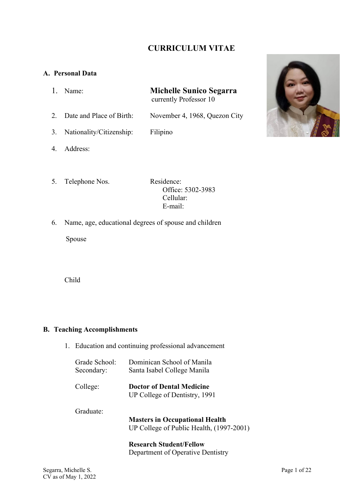## **CURRICULUM VITAE**

#### **A. Personal Data**

- 1. Name: **Michelle Sunico Segarra** currently Professor 10
- 2. Date and Place of Birth: November 4, 1968, Quezon City
- 3. Nationality/Citizenship: Filipino
- 4. Address:
- 5. Telephone Nos. Residence: Office: 5302-3983 Cellular: E-mail:
- 6. Name, age, educational degrees of spouse and children

Spouse

Child

#### **B. Teaching Accomplishments**

1. Education and continuing professional advancement

| Grade School:<br>Secondary: | Dominican School of Manila<br>Santa Isabel College Manila                         |
|-----------------------------|-----------------------------------------------------------------------------------|
| College:                    | <b>Doctor of Dental Medicine</b><br>UP College of Dentistry, 1991                 |
| Graduate:                   | <b>Masters in Occupational Health</b><br>UP College of Public Health, (1997-2001) |
|                             | <b>Research Student/Fellow</b><br>Department of Operative Dentistry               |

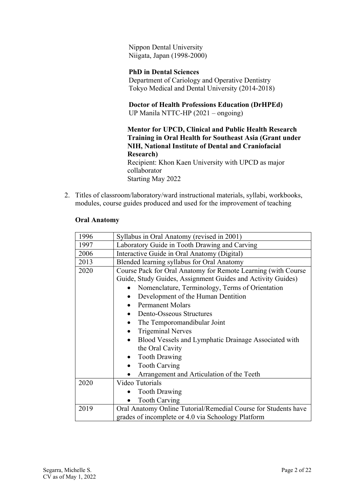Nippon Dental University Niigata, Japan (1998-2000)

## **PhD in Dental Sciences**

Department of Cariology and Operative Dentistry Tokyo Medical and Dental University (2014-2018)

**Doctor of Health Professions Education (DrHPEd)** UP Manila NTTC-HP (2021 – ongoing)

**Mentor for UPCD, Clinical and Public Health Research Training in Oral Health for Southeast Asia (Grant under NIH, National Institute of Dental and Craniofacial Research)**  Recipient: Khon Kaen University with UPCD as major collaborator

Starting May 2022

2. Titles of classroom/laboratory/ward instructional materials, syllabi, workbooks, modules, course guides produced and used for the improvement of teaching

#### **Oral Anatomy**

| 1996 | Syllabus in Oral Anatomy (revised in 2001)                                                                           |
|------|----------------------------------------------------------------------------------------------------------------------|
| 1997 | Laboratory Guide in Tooth Drawing and Carving                                                                        |
| 2006 | Interactive Guide in Oral Anatomy (Digital)                                                                          |
| 2013 | Blended learning syllabus for Oral Anatomy                                                                           |
| 2020 | Course Pack for Oral Anatomy for Remote Learning (with Course                                                        |
|      | Guide, Study Guides, Assignment Guides and Activity Guides)                                                          |
|      | Nomenclature, Terminology, Terms of Orientation                                                                      |
|      | Development of the Human Dentition                                                                                   |
|      | <b>Permanent Molars</b>                                                                                              |
|      | <b>Dento-Osseous Structures</b>                                                                                      |
|      | The Temporomandibular Joint                                                                                          |
|      | <b>Trigeminal Nerves</b>                                                                                             |
|      | Blood Vessels and Lymphatic Drainage Associated with                                                                 |
|      | the Oral Cavity                                                                                                      |
|      | <b>Tooth Drawing</b>                                                                                                 |
|      | <b>Tooth Carving</b>                                                                                                 |
|      | Arrangement and Articulation of the Teeth                                                                            |
| 2020 | Video Tutorials                                                                                                      |
|      | <b>Tooth Drawing</b>                                                                                                 |
|      | <b>Tooth Carving</b>                                                                                                 |
| 2019 | Oral Anatomy Online Tutorial/Remedial Course for Students have<br>grades of incomplete or 4.0 via Schoology Platform |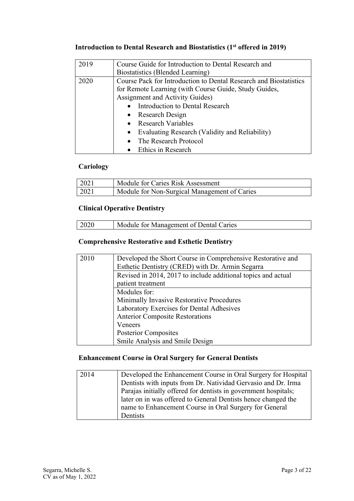# **Introduction to Dental Research and Biostatistics (1st offered in 2019)**

| 2019 | Course Guide for Introduction to Dental Research and              |
|------|-------------------------------------------------------------------|
|      | Biostatistics (Blended Learning)                                  |
| 2020 | Course Pack for Introduction to Dental Research and Biostatistics |
|      | for Remote Learning (with Course Guide, Study Guides,             |
|      | Assignment and Activity Guides)                                   |
|      | Introduction to Dental Research                                   |
|      | • Research Design                                                 |
|      | • Research Variables                                              |
|      | Evaluating Research (Validity and Reliability)<br>$\bullet$       |
|      | The Research Protocol                                             |
|      | • Ethics in Research                                              |

## **Cariology**

| 2021 | Module for Caries Risk Assessment            |
|------|----------------------------------------------|
| 2021 | Module for Non-Surgical Management of Caries |

## **Clinical Operative Dentistry**

| 2020<br>Module for Management of Dental Caries |
|------------------------------------------------|
|------------------------------------------------|

## **Comprehensive Restorative and Esthetic Dentistry**

| 2010 | Developed the Short Course in Comprehensive Restorative and   |
|------|---------------------------------------------------------------|
|      | Esthetic Dentistry (CRED) with Dr. Armin Segarra              |
|      | Revised in 2014, 2017 to include additional topics and actual |
|      | patient treatment                                             |
|      | Modules for:                                                  |
|      | Minimally Invasive Restorative Procedures                     |
|      | Laboratory Exercises for Dental Adhesives                     |
|      | <b>Anterior Composite Restorations</b>                        |
|      | Veneers                                                       |
|      | <b>Posterior Composites</b>                                   |
|      | Smile Analysis and Smile Design                               |

## **Enhancement Course in Oral Surgery for General Dentists**

| 2014 | Developed the Enhancement Course in Oral Surgery for Hospital   |
|------|-----------------------------------------------------------------|
|      | Dentists with inputs from Dr. Natividad Gervasio and Dr. Irma   |
|      | Parajas initially offered for dentists in government hospitals; |
|      | later on in was offered to General Dentists hence changed the   |
|      | name to Enhancement Course in Oral Surgery for General          |
|      | Dentists                                                        |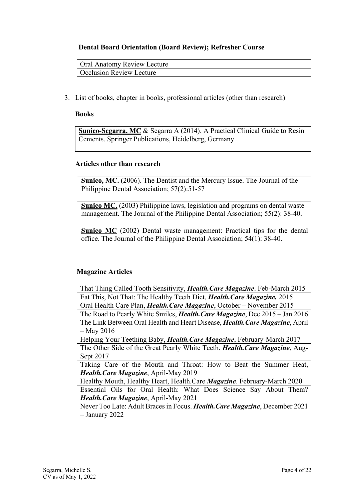#### **Dental Board Orientation (Board Review); Refresher Course**

Oral Anatomy Review Lecture Occlusion Review Lecture

3. List of books, chapter in books, professional articles (other than research)

#### **Books**

**Sunico-Segarra, MC** & Segarra A (2014). A Practical Clinical Guide to Resin Cements. Springer Publications, Heidelberg, Germany

#### **Articles other than research**

**Sunico, MC.** (2006). The Dentist and the Mercury Issue. The Journal of the Philippine Dental Association; 57(2):51-57

**Sunico MC.** (2003) Philippine laws, legislation and programs on dental waste management. The Journal of the Philippine Dental Association; 55(2): 38-40.

**Sunico MC** (2002) Dental waste management: Practical tips for the dental office. The Journal of the Philippine Dental Association; 54(1): 38-40.

#### **Magazine Articles**

| That Thing Called Tooth Sensitivity, Health. Care Magazine. Feb-March 2015           |
|--------------------------------------------------------------------------------------|
| Eat This, Not That: The Healthy Teeth Diet, <i>Health. Care Magazine</i> , 2015      |
| Oral Health Care Plan, Health. Care Magazine, October - November 2015                |
| The Road to Pearly White Smiles, <i>Health. Care Magazine</i> , Dec 2015 - Jan 2016  |
| The Link Between Oral Health and Heart Disease, <i>Health. Care Magazine</i> , April |
| $-$ May 2016                                                                         |
| Helping Your Teething Baby, Health. Care Magazine, February-March 2017               |
| The Other Side of the Great Pearly White Teeth. Health. Care Magazine, Aug-          |
| Sept 2017                                                                            |
| Taking Care of the Mouth and Throat: How to Beat the Summer Heat,                    |
| Health. Care Magazine, April-May 2019                                                |
| Healthy Mouth, Healthy Heart, Health.Care Magazine. February-March 2020              |
| Essential Oils for Oral Health: What Does Science Say About Them?                    |
| Health. Care Magazine, April-May 2021                                                |
| Never Too Late: Adult Braces in Focus. Health. Care Magazine, December 2021          |
| $-$ January 2022                                                                     |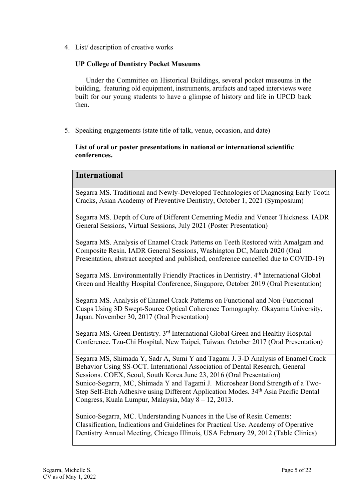4. List/ description of creative works

### **UP College of Dentistry Pocket Museums**

 Under the Committee on Historical Buildings, several pocket museums in the building, featuring old equipment, instruments, artifacts and taped interviews were built for our young students to have a glimpse of history and life in UPCD back then.

5. Speaking engagements (state title of talk, venue, occasion, and date)

#### **List of oral or poster presentations in national or international scientific conferences.**

## **International**

Segarra MS. Traditional and Newly-Developed Technologies of Diagnosing Early Tooth Cracks, Asian Academy of Preventive Dentistry, October 1, 2021 (Symposium)

Segarra MS. Depth of Cure of Different Cementing Media and Veneer Thickness. IADR General Sessions, Virtual Sessions, July 2021 (Poster Presentation)

Segarra MS. Analysis of Enamel Crack Patterns on Teeth Restored with Amalgam and Composite Resin. IADR General Sessions, Washington DC, March 2020 (Oral Presentation, abstract accepted and published, conference cancelled due to COVID-19)

Segarra MS. Environmentally Friendly Practices in Dentistry. 4th International Global Green and Healthy Hospital Conference, Singapore, October 2019 (Oral Presentation)

Segarra MS. Analysis of Enamel Crack Patterns on Functional and Non-Functional Cusps Using 3D Swept-Source Optical Coherence Tomography. Okayama University, Japan. November 30, 2017 (Oral Presentation)

Segarra MS. Green Dentistry. 3rd International Global Green and Healthy Hospital Conference. Tzu-Chi Hospital, New Taipei, Taiwan. October 2017 (Oral Presentation)

Segarra MS, Shimada Y, Sadr A, Sumi Y and Tagami J. 3-D Analysis of Enamel Crack Behavior Using SS-OCT. International Association of Dental Research, General Sessions. COEX, Seoul, South Korea June 23, 2016 (Oral Presentation) Sunico-Segarra, MC, Shimada Y and Tagami J. Microshear Bond Strength of a Two-Step Self-Etch Adhesive using Different Application Modes. 34<sup>th</sup> Asia Pacific Dental Congress, Kuala Lumpur, Malaysia, May 8 – 12, 2013.

Sunico-Segarra, MC. Understanding Nuances in the Use of Resin Cements: Classification, Indications and Guidelines for Practical Use. Academy of Operative Dentistry Annual Meeting, Chicago Illinois, USA February 29, 2012 (Table Clinics)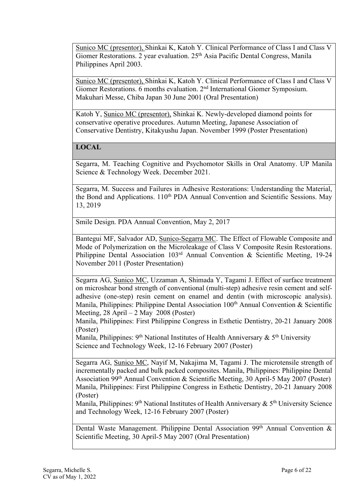Sunico MC (presentor), Shinkai K, Katoh Y. Clinical Performance of Class I and Class V Giomer Restorations. 2 year evaluation. 25<sup>th</sup> Asia Pacific Dental Congress, Manila Philippines April 2003.

Sunico MC (presentor), Shinkai K, Katoh Y. Clinical Performance of Class I and Class V Giomer Restorations. 6 months evaluation. 2nd International Giomer Symposium. Makuhari Messe, Chiba Japan 30 June 2001 (Oral Presentation)

Katoh Y, Sunico MC (presentor), Shinkai K. Newly-developed diamond points for conservative operative procedures. Autumn Meeting, Japanese Association of Conservative Dentistry, Kitakyushu Japan. November 1999 (Poster Presentation)

## **LOCAL**

Segarra, M. Teaching Cognitive and Psychomotor Skills in Oral Anatomy. UP Manila Science & Technology Week. December 2021.

Segarra, M. Success and Failures in Adhesive Restorations: Understanding the Material, the Bond and Applications. 110<sup>th</sup> PDA Annual Convention and Scientific Sessions. May 13, 2019

Smile Design. PDA Annual Convention, May 2, 2017

Bantegui MF, Salvador AD, Sunico-Segarra MC. The Effect of Flowable Composite and Mode of Polymerization on the Microleakage of Class V Composite Resin Restorations. Philippine Dental Association 103rd Annual Convention & Scientific Meeting, 19-24 November 2011 (Poster Presentation)

Segarra AG, Sunico MC, Uzzaman A, Shimada Y, Tagami J. Effect of surface treatment on microshear bond strength of conventional (multi-step) adhesive resin cement and selfadhesive (one-step) resin cement on enamel and dentin (with microscopic analysis). Manila, Philippines: Philippine Dental Association  $100<sup>th</sup>$  Annual Convention & Scientific Meeting, 28 April – 2 May 2008 (Poster)

Manila, Philippines: First Philippine Congress in Esthetic Dentistry, 20-21 January 2008 (Poster)

Manila, Philippines: 9<sup>th</sup> National Institutes of Health Anniversary  $\&$  5<sup>th</sup> University Science and Technology Week, 12-16 February 2007 (Poster)

Segarra AG, Sunico MC, Nayif M, Nakajima M, Tagami J. The microtensile strength of incrementally packed and bulk packed composites. Manila, Philippines: Philippine Dental Association 99th Annual Convention & Scientific Meeting, 30 April-5 May 2007 (Poster) Manila, Philippines: First Philippine Congress in Esthetic Dentistry, 20-21 January 2008 (Poster)

Manila, Philippines:  $9<sup>th</sup>$  National Institutes of Health Anniversary &  $5<sup>th</sup>$  University Science and Technology Week, 12-16 February 2007 (Poster)

Dental Waste Management. Philippine Dental Association 99<sup>th</sup> Annual Convention & Scientific Meeting, 30 April-5 May 2007 (Oral Presentation)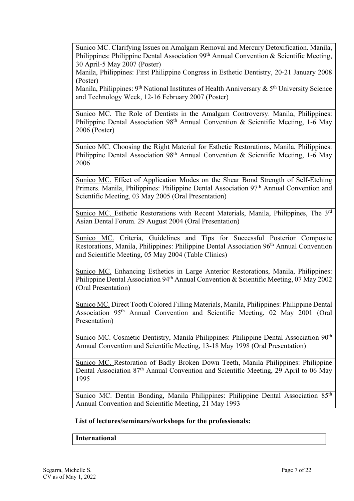Sunico MC. Clarifying Issues on Amalgam Removal and Mercury Detoxification. Manila, Philippines: Philippine Dental Association 99<sup>th</sup> Annual Convention & Scientific Meeting, 30 April-5 May 2007 (Poster)

Manila, Philippines: First Philippine Congress in Esthetic Dentistry, 20-21 January 2008 (Poster)

Manila, Philippines:  $9<sup>th</sup>$  National Institutes of Health Anniversary &  $5<sup>th</sup>$  University Science and Technology Week, 12-16 February 2007 (Poster)

Sunico MC. The Role of Dentists in the Amalgam Controversy. Manila, Philippines: Philippine Dental Association 98<sup>th</sup> Annual Convention & Scientific Meeting, 1-6 May 2006 (Poster)

Sunico MC. Choosing the Right Material for Esthetic Restorations, Manila, Philippines: Philippine Dental Association 98<sup>th</sup> Annual Convention & Scientific Meeting, 1-6 May 2006

Sunico MC. Effect of Application Modes on the Shear Bond Strength of Self-Etching Primers. Manila, Philippines: Philippine Dental Association 97<sup>th</sup> Annual Convention and Scientific Meeting, 03 May 2005 (Oral Presentation)

Sunico MC. Esthetic Restorations with Recent Materials, Manila, Philippines, The 3<sup>rd</sup> Asian Dental Forum. 29 August 2004 (Oral Presentation)

Sunico MC. Criteria, Guidelines and Tips for Successful Posterior Composite Restorations, Manila, Philippines: Philippine Dental Association 96<sup>th</sup> Annual Convention and Scientific Meeting, 05 May 2004 (Table Clinics)

Sunico MC. Enhancing Esthetics in Large Anterior Restorations, Manila, Philippines: Philippine Dental Association 94<sup>th</sup> Annual Convention & Scientific Meeting, 07 May 2002 (Oral Presentation)

Sunico MC. Direct Tooth Colored Filling Materials, Manila, Philippines: Philippine Dental Association 95th Annual Convention and Scientific Meeting, 02 May 2001 (Oral Presentation)

Sunico MC. Cosmetic Dentistry, Manila Philippines: Philippine Dental Association 90<sup>th</sup> Annual Convention and Scientific Meeting, 13-18 May 1998 (Oral Presentation)

Sunico MC. Restoration of Badly Broken Down Teeth, Manila Philippines: Philippine Dental Association 87<sup>th</sup> Annual Convention and Scientific Meeting, 29 April to 06 May 1995

Sunico MC. Dentin Bonding, Manila Philippines: Philippine Dental Association 85<sup>th</sup> Annual Convention and Scientific Meeting, 21 May 1993

#### **List of lectures/seminars/workshops for the professionals:**

#### **International**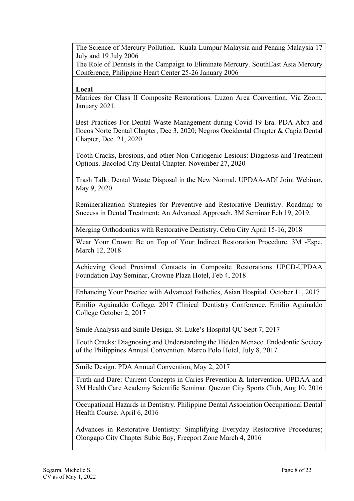The Science of Mercury Pollution. Kuala Lumpur Malaysia and Penang Malaysia 17 July and 19 July 2006

The Role of Dentists in the Campaign to Eliminate Mercury. SouthEast Asia Mercury Conference, Philippine Heart Center 25-26 January 2006

#### **Local**

Matrices for Class II Composite Restorations. Luzon Area Convention. Via Zoom. January 2021.

Best Practices For Dental Waste Management during Covid 19 Era. PDA Abra and Ilocos Norte Dental Chapter, Dec 3, 2020; Negros Occidental Chapter & Capiz Dental Chapter, Dec. 21, 2020

Tooth Cracks, Erosions, and other Non-Cariogenic Lesions: Diagnosis and Treatment Options. Bacolod City Dental Chapter. November 27, 2020

Trash Talk: Dental Waste Disposal in the New Normal. UPDAA-ADI Joint Webinar, May 9, 2020.

Remineralization Strategies for Preventive and Restorative Dentistry. Roadmap to Success in Dental Treatment: An Advanced Approach. 3M Seminar Feb 19, 2019.

Merging Orthodontics with Restorative Dentistry. Cebu City April 15-16, 2018

Wear Your Crown: Be on Top of Your Indirect Restoration Procedure. 3M -Espe. March 12, 2018

Achieving Good Proximal Contacts in Composite Restorations UPCD-UPDAA Foundation Day Seminar, Crowne Plaza Hotel, Feb 4, 2018

Enhancing Your Practice with Advanced Esthetics, Asian Hospital. October 11, 2017

Emilio Aguinaldo College, 2017 Clinical Dentistry Conference. Emilio Aguinaldo College October 2, 2017

Smile Analysis and Smile Design. St. Luke's Hospital QC Sept 7, 2017

Tooth Cracks: Diagnosing and Understanding the Hidden Menace. Endodontic Society of the Philippines Annual Convention. Marco Polo Hotel, July 8, 2017.

Smile Design. PDA Annual Convention, May 2, 2017

Truth and Dare: Current Concepts in Caries Prevention & Intervention. UPDAA and 3M Health Care Academy Scientific Seminar. Quezon City Sports Club, Aug 10, 2016

Occupational Hazards in Dentistry. Philippine Dental Association Occupational Dental Health Course. April 6, 2016

Advances in Restorative Dentistry: Simplifying Everyday Restorative Procedures; Olongapo City Chapter Subic Bay, Freeport Zone March 4, 2016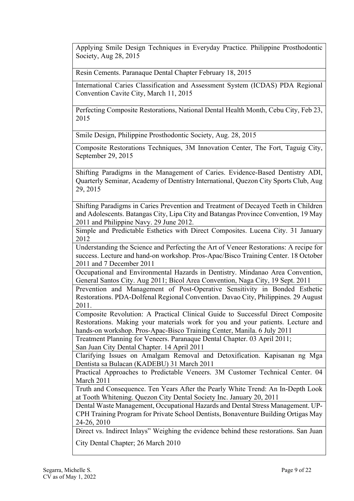Applying Smile Design Techniques in Everyday Practice. Philippine Prosthodontic Society, Aug 28, 2015

Resin Cements. Paranaque Dental Chapter February 18, 2015

International Caries Classification and Assessment System (ICDAS) PDA Regional Convention Cavite City, March 11, 2015

Perfecting Composite Restorations, National Dental Health Month, Cebu City, Feb 23, 2015

Smile Design, Philippine Prosthodontic Society, Aug. 28, 2015

Composite Restorations Techniques, 3M Innovation Center, The Fort, Taguig City, September 29, 2015

Shifting Paradigms in the Management of Caries. Evidence-Based Dentistry ADI, Quarterly Seminar, Academy of Dentistry International, Quezon City Sports Club, Aug 29, 2015

Shifting Paradigms in Caries Prevention and Treatment of Decayed Teeth in Children and Adolescents. Batangas City, Lipa City and Batangas Province Convention, 19 May 2011 and Philippine Navy. 29 June 2012.

Simple and Predictable Esthetics with Direct Composites. Lucena City. 31 January 2012

Understanding the Science and Perfecting the Art of Veneer Restorations: A recipe for success. Lecture and hand-on workshop. Pros-Apac/Bisco Training Center. 18 October 2011 and 7 December 2011

Occupational and Environmental Hazards in Dentistry. Mindanao Area Convention, General Santos City. Aug 2011; Bicol Area Convention, Naga City, 19 Sept. 2011

Prevention and Management of Post-Operative Sensitivity in Bonded Esthetic Restorations. PDA-Dolfenal Regional Convention. Davao City, Philippines. 29 August 2011.

Composite Revolution: A Practical Clinical Guide to Successful Direct Composite Restorations. Making your materials work for you and your patients. Lecture and hands-on workshop. Pros-Apac-Bisco Training Center, Manila. 6 July 2011

Treatment Planning for Veneers. Paranaque Dental Chapter. 03 April 2011; San Juan City Dental Chapter. 14 April 2011

Clarifying Issues on Amalgam Removal and Detoxification. Kapisanan ng Mga Dentista sa Bulacan (KADEBU) 31 March 2011

Practical Approaches to Predictable Veneers. 3M Customer Technical Center. 04 March 2011

Truth and Consequence. Ten Years After the Pearly White Trend: An In-Depth Look at Tooth Whitening. Quezon City Dental Society Inc. January 20, 2011

Dental Waste Management, Occupational Hazards and Dental Stress Management. UP-CPH Training Program for Private School Dentists, Bonaventure Building Ortigas May 24-26, 2010

Direct vs. Indirect Inlays" Weighing the evidence behind these restorations. San Juan

City Dental Chapter; 26 March 2010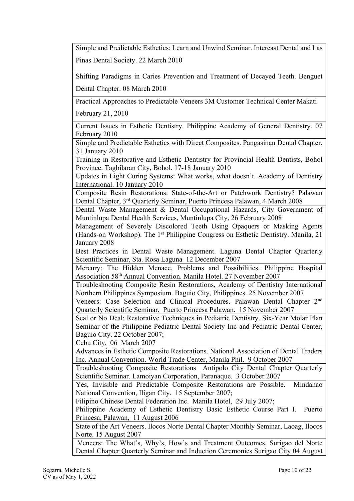Simple and Predictable Esthetics: Learn and Unwind Seminar. Intercast Dental and Las Pinas Dental Society. 22 March 2010

Shifting Paradigms in Caries Prevention and Treatment of Decayed Teeth. Benguet Dental Chapter. 08 March 2010

Practical Approaches to Predictable Veneers 3M Customer Technical Center Makati

February 21, 2010

Current Issues in Esthetic Dentistry. Philippine Academy of General Dentistry. 07 February 2010

Simple and Predictable Esthetics with Direct Composites. Pangasinan Dental Chapter. 31 January 2010

Training in Restorative and Esthetic Dentistry for Provincial Health Dentists, Bohol Province. Tagbilaran City, Bohol. 17-18 January 2010

Updates in Light Curing Systems: What works, what doesn't. Academy of Dentistry International. 10 January 2010

Composite Resin Restorations: State-of-the-Art or Patchwork Dentistry? Palawan Dental Chapter, 3rd Quarterly Seminar, Puerto Princesa Palawan, 4 March 2008

Dental Waste Management & Dental Occupational Hazards, City Government of Muntinlupa Dental Health Services, Muntinlupa City, 26 February 2008

Management of Severely Discolored Teeth Using Opaquers or Masking Agents (Hands-on Workshop). The 1st Philippine Congress on Esthetic Dentistry. Manila, 21 January 2008

Best Practices in Dental Waste Management. Laguna Dental Chapter Quarterly Scientific Seminar, Sta. Rosa Laguna 12 December 2007

Mercury: The Hidden Menace, Problems and Possibilities. Philippine Hospital Association 58th Annual Convention. Manila Hotel. 27 November 2007

Troubleshooting Composite Resin Restorations, Academy of Dentistry International Northern Philippines Symposium. Baguio City, Philippines. 25 November 2007

Veneers: Case Selection and Clinical Procedures. Palawan Dental Chapter 2nd Quarterly Scientific Seminar, Puerto Princesa Palawan. 15 November 2007

Seal or No Deal: Restorative Techniques in Pediatric Dentistry. Six-Year Molar Plan Seminar of the Philippine Pediatric Dental Society Inc and Pediatric Dental Center, Baguio City. 22 October 2007;

Cebu City, 06 March 2007

Advances in Esthetic Composite Restorations. National Association of Dental Traders Inc. Annual Convention. World Trade Center, Manila Phil. 9 October 2007

Troubleshooting Composite Restorations Antipolo City Dental Chapter Quarterly Scientific Seminar. Lamoiyan Corporation, Paranaque. 3 October 2007

Yes, Invisible and Predictable Composite Restorations are Possible. Mindanao National Convention, Iligan City. 15 September 2007;

Filipino Chinese Dental Federation Inc. Manila Hotel, 29 July 2007;

Philippine Academy of Esthetic Dentistry Basic Esthetic Course Part I. Puerto Princesa, Palawan, 11 August 2006

State of the Art Veneers. Ilocos Norte Dental Chapter Monthly Seminar, Laoag, Ilocos Norte. 15 August 2007

Veneers: The What's, Why's, How's and Treatment Outcomes. Surigao del Norte Dental Chapter Quarterly Seminar and Induction Ceremonies Surigao City 04 August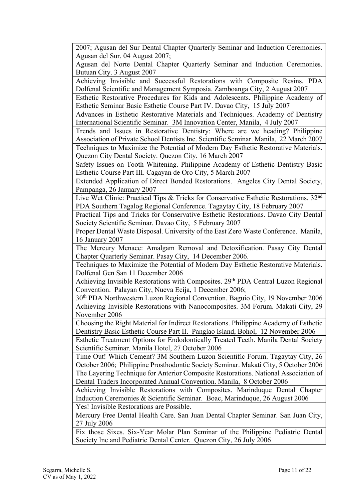2007; Agusan del Sur Dental Chapter Quarterly Seminar and Induction Ceremonies. Agusan del Sur. 04 August 2007;

Agusan del Norte Dental Chapter Quarterly Seminar and Induction Ceremonies. Butuan City. 3 August 2007

Achieving Invisible and Successful Restorations with Composite Resins. PDA Dolfenal Scientific and Management Symposia. Zamboanga City, 2 August 2007

Esthetic Restorative Procedures for Kids and Adolescents. Philippine Academy of Esthetic Seminar Basic Esthetic Course Part IV. Davao City, 15 July 2007

Advances in Esthetic Restorative Materials and Techniques. Academy of Dentistry International Scientific Seminar. 3M Innovation Center, Manila, 4 July 2007

Trends and Issues in Restorative Dentistry: Where are we heading? Philippine Association of Private School Dentists Inc. Scientific Seminar. Manila, 22 March 2007 Techniques to Maximize the Potential of Modern Day Esthetic Restorative Materials. Quezon City Dental Society. Quezon City, 16 March 2007

Safety Issues on Tooth Whitening. Philippine Academy of Esthetic Dentistry Basic Esthetic Course Part III. Cagayan de Oro City, 5 March 2007

Extended Application of Direct Bonded Restorations. Angeles City Dental Society, Pampanga, 26 January 2007

Live Wet Clinic: Practical Tips & Tricks for Conservative Esthetic Restorations. 32nd PDA Southern Tagalog Regional Conference. Tagaytay City, 18 February 2007

Practical Tips and Tricks for Conservative Esthetic Restorations. Davao City Dental Society Scientific Seminar. Davao City, 5 February 2007

Proper Dental Waste Disposal. University of the East Zero Waste Conference. Manila, 16 January 2007

The Mercury Menace: Amalgam Removal and Detoxification. Pasay City Dental Chapter Quarterly Seminar. Pasay City, 14 December 2006.

Techniques to Maximize the Potential of Modern Day Esthetic Restorative Materials. Dolfenal Gen San 11 December 2006

Achieving Invisible Restorations with Composites. 29<sup>th</sup> PDA Central Luzon Regional Convention. Palayan City, Nueva Ecija, 1 December 2006;

30th PDA Northwestern Luzon Regional Convention. Baguio City, 19 November 2006 Achieving Invisible Restorations with Nanocomposites. 3M Forum. Makati City, 29 November 2006

Choosing the Right Material for Indirect Restorations. Philippine Academy of Esthetic Dentistry Basic Esthetic Course Part II. Panglao Island, Bohol, 12 November 2006

Esthetic Treatment Options for Endodontically Treated Teeth. Manila Dental Society Scientific Seminar. Manila Hotel, 27 October 2006

Time Out! Which Cement? 3M Southern Luzon Scientific Forum. Tagaytay City, 26 October 2006; Philippine Prosthodontic Society Seminar. Makati City, 5 October 2006 The Layering Technique for Anterior Composite Restorations. National Association of Dental Traders Incorporated Annual Convention. Manila, 8 October 2006

Achieving Invisible Restorations with Composites. Marinduque Dental Chapter Induction Ceremonies & Scientific Seminar. Boac, Marinduque, 26 August 2006 Yes! Invisible Restorations are Possible.

Mercury Free Dental Health Care. San Juan Dental Chapter Seminar. San Juan City, 27 July 2006

Fix those Sixes. Six-Year Molar Plan Seminar of the Philippine Pediatric Dental Society Inc and Pediatric Dental Center. Quezon City, 26 July 2006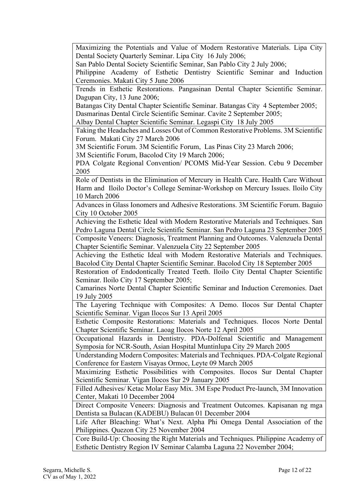Maximizing the Potentials and Value of Modern Restorative Materials. Lipa City Dental Society Quarterly Seminar. Lipa City 16 July 2006;

San Pablo Dental Society Scientific Seminar, San Pablo City 2 July 2006;

Philippine Academy of Esthetic Dentistry Scientific Seminar and Induction Ceremonies. Makati City 5 June 2006

Trends in Esthetic Restorations. Pangasinan Dental Chapter Scientific Seminar. Dagupan City, 13 June 2006;

Batangas City Dental Chapter Scientific Seminar. Batangas City 4 September 2005;

Dasmarinas Dental Circle Scientific Seminar. Cavite 2 September 2005;

Albay Dental Chapter Scientific Seminar. Legaspi City 18 July 2005

Taking the Headaches and Losses Out of Common Restorative Problems. 3M Scientific Forum. Makati City 27 March 2006

3M Scientific Forum. 3M Scientific Forum, Las Pinas City 23 March 2006;

3M Scientific Forum, Bacolod City 19 March 2006;

PDA Colgate Regional Convention/ PCOMS Mid-Year Session. Cebu 9 December 2005

Role of Dentists in the Elimination of Mercury in Health Care. Health Care Without Harm and Iloilo Doctor's College Seminar-Workshop on Mercury Issues. Iloilo City 10 March 2006

Advances in Glass Ionomers and Adhesive Restorations. 3M Scientific Forum. Baguio City 10 October 2005

Achieving the Esthetic Ideal with Modern Restorative Materials and Techniques. San Pedro Laguna Dental Circle Scientific Seminar. San Pedro Laguna 23 September 2005 Composite Veneers: Diagnosis, Treatment Planning and Outcomes. Valenzuela Dental Chapter Scientific Seminar. Valenzuela City 22 September 2005

Achieving the Esthetic Ideal with Modern Restorative Materials and Techniques. Bacolod City Dental Chapter Scientific Seminar. Bacolod City 18 September 2005

Restoration of Endodontically Treated Teeth. Iloilo City Dental Chapter Scientific Seminar. Iloilo City 17 September 2005;

Camarines Norte Dental Chapter Scientific Seminar and Induction Ceremonies. Daet 19 July 2005

The Layering Technique with Composites: A Demo. Ilocos Sur Dental Chapter Scientific Seminar. Vigan Ilocos Sur 13 April 2005

Esthetic Composite Restorations: Materials and Techniques. Ilocos Norte Dental Chapter Scientific Seminar. Laoag Ilocos Norte 12 April 2005

Occupational Hazards in Dentistry. PDA-Dolfenal Scientific and Management Symposia for NCR-South, Asian Hospital Muntinlupa City 29 March 2005

Understanding Modern Composites: Materials and Techniques. PDA-Colgate Regional Conference for Eastern Visayas Ormoc, Leyte 09 March 2005

Maximizing Esthetic Possibilities with Composites. Ilocos Sur Dental Chapter Scientific Seminar. Vigan Ilocos Sur 29 January 2005

Filled Adhesives/ Ketac Molar Easy Mix. 3M Espe Product Pre-launch, 3M Innovation Center, Makati 10 December 2004

Direct Composite Veneers: Diagnosis and Treatment Outcomes. Kapisanan ng mga Dentista sa Bulacan (KADEBU) Bulacan 01 December 2004

Life After Bleaching: What's Next. Alpha Phi Omega Dental Association of the Philippines. Quezon City 25 November 2004

Core Build-Up: Choosing the Right Materials and Techniques. Philippine Academy of Esthetic Dentistry Region IV Seminar Calamba Laguna 22 November 2004;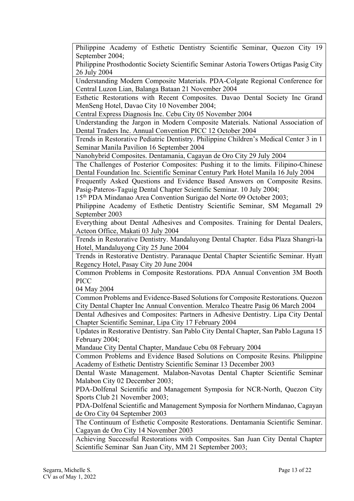Philippine Academy of Esthetic Dentistry Scientific Seminar, Quezon City 19 September 2004; Philippine Prosthodontic Society Scientific Seminar Astoria Towers Ortigas Pasig City 26 July 2004 Understanding Modern Composite Materials. PDA-Colgate Regional Conference for Central Luzon Lian, Balanga Bataan 21 November 2004 Esthetic Restorations with Recent Composites. Davao Dental Society Inc Grand MenSeng Hotel, Davao City 10 November 2004; Central Express Diagnosis Inc. Cebu City 05 November 2004 Understanding the Jargon in Modern Composite Materials. National Association of Dental Traders Inc. Annual Convention PICC 12 October 2004 Trends in Restorative Pediatric Dentistry. Philippine Children's Medical Center 3 in 1 Seminar Manila Pavilion 16 September 2004 Nanohybrid Composites. Dentamania, Cagayan de Oro City 29 July 2004 The Challenges of Posterior Composites: Pushing it to the limits. Filipino-Chinese Dental Foundation Inc. Scientific Seminar Century Park Hotel Manila 16 July 2004 Frequently Asked Questions and Evidence Based Answers on Composite Resins. Pasig-Pateros-Taguig Dental Chapter Scientific Seminar. 10 July 2004; 15th PDA Mindanao Area Convention Surigao del Norte 09 October 2003; Philippine Academy of Esthetic Dentistry Scientific Seminar, SM Megamall 29 September 2003 Everything about Dental Adhesives and Composites. Training for Dental Dealers, Acteon Office, Makati 03 July 2004 Trends in Restorative Dentistry. Mandaluyong Dental Chapter. Edsa Plaza Shangri-la Hotel, Mandaluyong City 25 June 2004 Trends in Restorative Dentistry. Paranaque Dental Chapter Scientific Seminar. Hyatt Regency Hotel, Pasay City 20 June 2004 Common Problems in Composite Restorations. PDA Annual Convention 3M Booth PICC 04 May 2004 Common Problems and Evidence-Based Solutions for Composite Restorations. Quezon City Dental Chapter Inc Annual Convention. Meralco Theatre Pasig 06 March 2004 Dental Adhesives and Composites: Partners in Adhesive Dentistry. Lipa City Dental Chapter Scientific Seminar, Lipa City 17 February 2004 Updates in Restorative Dentistry. San Pablo City Dental Chapter, San Pablo Laguna 15 February 2004; Mandaue City Dental Chapter, Mandaue Cebu 08 February 2004 Common Problems and Evidence Based Solutions on Composite Resins. Philippine Academy of Esthetic Dentistry Scientific Seminar 13 December 2003 Dental Waste Management. Malabon-Navotas Dental Chapter Scientific Seminar Malabon City 02 December 2003; PDA-Dolfenal Scientific and Management Symposia for NCR-North, Quezon City Sports Club 21 November 2003; PDA-Dolfenal Scientific and Management Symposia for Northern Mindanao, Cagayan de Oro City 04 September 2003 The Continuum of Esthetic Composite Restorations. Dentamania Scientific Seminar. Cagayan de Oro City 14 November 2003 Achieving Successful Restorations with Composites. San Juan City Dental Chapter Scientific Seminar San Juan City, MM 21 September 2003;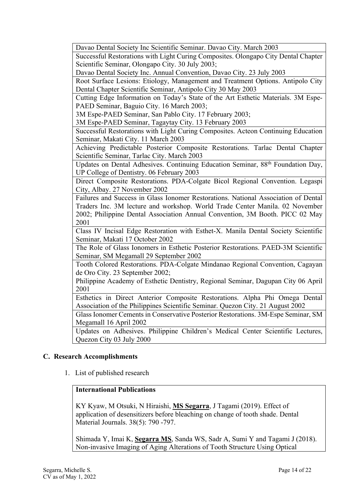| Davao Dental Society Inc Scientific Seminar. Davao City. March 2003                         |
|---------------------------------------------------------------------------------------------|
| Successful Restorations with Light Curing Composites. Olongapo City Dental Chapter          |
| Scientific Seminar, Olongapo City. 30 July 2003;                                            |
| Davao Dental Society Inc. Annual Convention, Davao City. 23 July 2003                       |
| Root Surface Lesions: Etiology, Management and Treatment Options. Antipolo City             |
| Dental Chapter Scientific Seminar, Antipolo City 30 May 2003                                |
| Cutting Edge Information on Today's State of the Art Esthetic Materials. 3M Espe-           |
| PAED Seminar, Baguio City. 16 March 2003;                                                   |
| 3M Espe-PAED Seminar, San Pablo City. 17 February 2003;                                     |
| 3M Espe-PAED Seminar, Tagaytay City. 13 February 2003                                       |
| Successful Restorations with Light Curing Composites. Acteon Continuing Education           |
| Seminar, Makati City. 11 March 2003                                                         |
| Achieving Predictable Posterior Composite Restorations. Tarlac Dental Chapter               |
| Scientific Seminar, Tarlac City. March 2003                                                 |
| Updates on Dental Adhesives. Continuing Education Seminar, 88 <sup>th</sup> Foundation Day, |
| UP College of Dentistry. 06 February 2003                                                   |
| Direct Composite Restorations. PDA-Colgate Bicol Regional Convention. Legaspi               |
| City, Albay. 27 November 2002                                                               |
| Failures and Success in Glass Ionomer Restorations. National Association of Dental          |
| Traders Inc. 3M lecture and workshop. World Trade Center Manila. 02 November                |
| 2002; Philippine Dental Association Annual Convention, 3M Booth. PICC 02 May                |
| 2001                                                                                        |
| Class IV Incisal Edge Restoration with Esthet-X. Manila Dental Society Scientific           |
| Seminar, Makati 17 October 2002                                                             |
| The Role of Glass Ionomers in Esthetic Posterior Restorations. PAED-3M Scientific           |
| Seminar, SM Megamall 29 September 2002                                                      |
| Tooth Colored Restorations. PDA-Colgate Mindanao Regional Convention, Cagayan               |
| de Oro City. 23 September 2002;                                                             |
| Philippine Academy of Esthetic Dentistry, Regional Seminar, Dagupan City 06 April           |
| 2001                                                                                        |
| Esthetics in Direct Anterior Composite Restorations. Alpha Phi Omega Dental                 |
| Association of the Philippines Scientific Seminar. Quezon City. 21 August 2002              |
| Glass Ionomer Cements in Conservative Posterior Restorations. 3M-Espe Seminar, SM           |
| Megamall 16 April 2002                                                                      |
| Updates on Adhesives. Philippine Children's Medical Center Scientific Lectures,             |
| Quezon City 03 July 2000                                                                    |
|                                                                                             |

### **C. Research Accomplishments**

1. List of published research

## **International Publications**

KY Kyaw, M Otsuki, N Hiraishi, **MS Segarra**, J Tagami (2019). Effect of application of desensitizers before bleaching on change of tooth shade. Dental Material Journals. 38(5): 790 -797.

Shimada Y, Imai K, **Segarra MS**, Sanda WS, Sadr A, Sumi Y and Tagami J (2018). Non-invasive Imaging of Aging Alterations of Tooth Structure Using Optical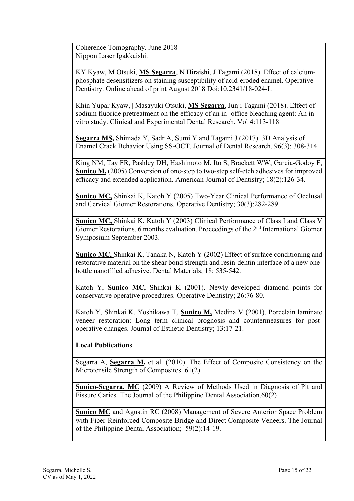Coherence Tomography. June 2018 Nippon Laser Igakkaishi.

KY Kyaw, M Otsuki, **MS Segarra**, N Hiraishi, J Tagami (2018). Effect of calciumphosphate desensitizers on staining susceptibility of acid-eroded enamel. Operative Dentistry. Online ahead of print August 2018 Doi:10.2341/18-024-L

Khin Yupar Kyaw, | Masayuki Otsuki, **MS Segarra**, Junji Tagami (2018). Effect of sodium fluoride pretreatment on the efficacy of an in‐ office bleaching agent: An in vitro study. Clinical and Experimental Dental Research. Vol 4:113-118

**Segarra MS,** Shimada Y, Sadr A, Sumi Y and Tagami J (2017). 3D Analysis of Enamel Crack Behavior Using SS-OCT. Journal of Dental Research. 96(3): 308-314.

King NM, Tay FR, Pashley DH, Hashimoto M, Ito S, Brackett WW, García-Godoy F, **Sunico M.** (2005) Conversion of one-step to two-step self-etch adhesives for improved efficacy and extended application. American Journal of Dentistry; 18(2):126-34.

**Sunico MC,** Shinkai K, Katoh Y (2005) Two-Year Clinical Performance of Occlusal and Cervical Giomer Restorations. Operative Dentistry; 30(3):282-289.

**Sunico MC,** Shinkai K, Katoh Y (2003) Clinical Performance of Class I and Class V Giomer Restorations. 6 months evaluation. Proceedings of the 2<sup>nd</sup> International Giomer Symposium September 2003.

**Sunico MC,** Shinkai K, Tanaka N, Katoh Y (2002) Effect of surface conditioning and restorative material on the shear bond strength and resin-dentin interface of a new onebottle nanofilled adhesive. Dental Materials; 18: 535-542.

Katoh Y, **Sunico MC,** Shinkai K (2001). Newly-developed diamond points for conservative operative procedures. Operative Dentistry; 26:76-80.

Katoh Y, Shinkai K, Yoshikawa T, **Sunico M,** Medina V (2001). Porcelain laminate veneer restoration: Long term clinical prognosis and countermeasures for postoperative changes. Journal of Esthetic Dentistry; 13:17-21.

### **Local Publications**

Segarra A, **Segarra M,** et al. (2010). The Effect of Composite Consistency on the Microtensile Strength of Composites. 61(2)

**Sunico-Segarra, MC** (2009) A Review of Methods Used in Diagnosis of Pit and Fissure Caries. The Journal of the Philippine Dental Association.60(2)

**Sunico MC** and Agustin RC (2008) Management of Severe Anterior Space Problem with Fiber-Reinforced Composite Bridge and Direct Composite Veneers. The Journal of the Philippine Dental Association; 59(2):14-19.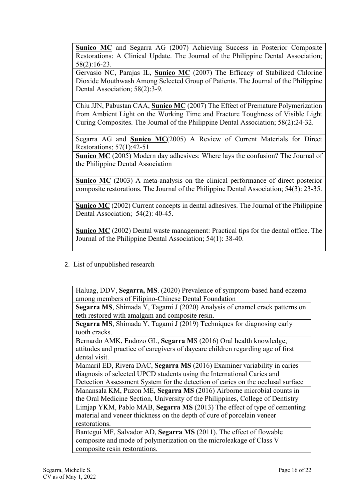**Sunico MC** and Segarra AG (2007) Achieving Success in Posterior Composite Restorations: A Clinical Update. The Journal of the Philippine Dental Association; 58(2):16-23.

Gervasio NC, Parajas IL, **Sunico MC** (2007) The Efficacy of Stabilized Chlorine Dioxide Mouthwash Among Selected Group of Patients. The Journal of the Philippine Dental Association; 58(2):3-9.

Chiu JJN, Pabustan CAA, **Sunico MC** (2007) The Effect of Premature Polymerization from Ambient Light on the Working Time and Fracture Toughness of Visible Light Curing Composites. The Journal of the Philippine Dental Association; 58(2):24-32.

Segarra AG and **Sunico MC**(2005) A Review of Current Materials for Direct Restorations; 57(1):42-51

**Sunico MC** (2005) Modern day adhesives: Where lays the confusion? The Journal of the Philippine Dental Association

**Sunico MC** (2003) A meta-analysis on the clinical performance of direct posterior composite restorations. The Journal of the Philippine Dental Association; 54(3): 23-35.

**Sunico MC** (2002) Current concepts in dental adhesives. The Journal of the Philippine Dental Association; 54(2): 40-45.

**Sunico MC** (2002) Dental waste management: Practical tips for the dental office. The Journal of the Philippine Dental Association; 54(1): 38-40.

2. List of unpublished research

Haluag, DDV, **Segarra, MS**. (2020) Prevalence of symptom-based hand eczema among members of Filipino-Chinese Dental Foundation

**Segarra MS**, Shimada Y, Tagami J (2020) Analysis of enamel crack patterns on teth restored with amalgam and composite resin.

**Segarra MS**, Shimada Y, Tagami J (2019) Techniques for diagnosing early tooth cracks.

Bernardo AMK, Endozo GL, **Segarra M**S (2016) Oral health knowledge, attitudes and practice of caregivers of daycare children regarding age of first dental visit.

Mamaril ED, Rivera DAC, **Segarra MS** (2016) Examiner variability in caries diagnosis of selected UPCD students using the International Caries and

Detection Assessment System for the detection of caries on the occlusal surface Manansala KM, Puzon ME, **Segarra MS** (2016) Airborne microbial counts in

the Oral Medicine Section, University of the Philippines, College of Dentistry Limjap YKM, Pablo MAB, **Segarra MS** (2013) The effect of type of cementing

material and veneer thickness on the depth of cure of porcelain veneer restorations.

Bantegui MF, Salvador AD, **Segarra MS** (2011). The effect of flowable composite and mode of polymerization on the microleakage of Class V composite resin restorations.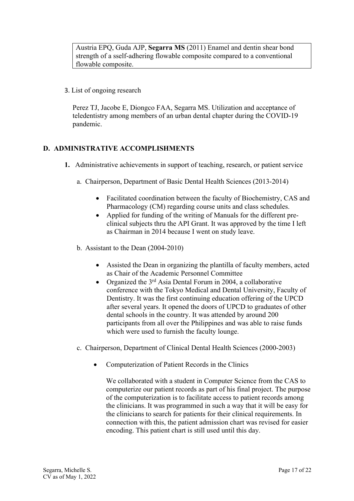Austria EPQ, Guda AJP, **Segarra MS** (2011) Enamel and dentin shear bond strength of a sself-adhering flowable composite compared to a conventional flowable composite.

3. List of ongoing research

Perez TJ, Jacobe E, Diongco FAA, Segarra MS. Utilization and acceptance of teledentistry among members of an urban dental chapter during the COVID-19 pandemic.

### **D. ADMINISTRATIVE ACCOMPLISHMENTS**

- **1.** Administrative achievements in support of teaching, research, or patient service
	- a. Chairperson, Department of Basic Dental Health Sciences (2013-2014)
		- Facilitated coordination between the faculty of Biochemistry, CAS and Pharmacology (CM) regarding course units and class schedules.
		- Applied for funding of the writing of Manuals for the different preclinical subjects thru the API Grant. It was approved by the time I left as Chairman in 2014 because I went on study leave.
	- b. Assistant to the Dean (2004-2010)
		- Assisted the Dean in organizing the plantilla of faculty members, acted as Chair of the Academic Personnel Committee
		- Organized the  $3<sup>rd</sup>$  Asia Dental Forum in 2004, a collaborative conference with the Tokyo Medical and Dental University, Faculty of Dentistry. It was the first continuing education offering of the UPCD after several years. It opened the doors of UPCD to graduates of other dental schools in the country. It was attended by around 200 participants from all over the Philippines and was able to raise funds which were used to furnish the faculty lounge.
	- c. Chairperson, Department of Clinical Dental Health Sciences (2000-2003)
		- Computerization of Patient Records in the Clinics

We collaborated with a student in Computer Science from the CAS to computerize our patient records as part of his final project. The purpose of the computerization is to facilitate access to patient records among the clinicians. It was programmed in such a way that it will be easy for the clinicians to search for patients for their clinical requirements. In connection with this, the patient admission chart was revised for easier encoding. This patient chart is still used until this day.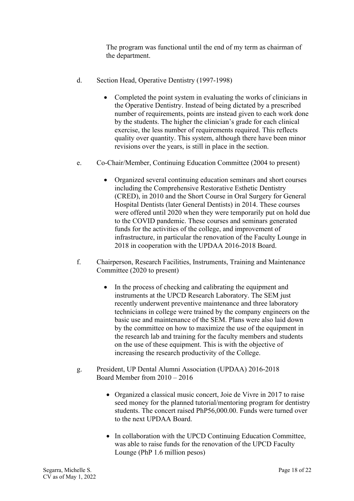The program was functional until the end of my term as chairman of the department.

- d. Section Head, Operative Dentistry (1997-1998)
	- Completed the point system in evaluating the works of clinicians in the Operative Dentistry. Instead of being dictated by a prescribed number of requirements, points are instead given to each work done by the students. The higher the clinician's grade for each clinical exercise, the less number of requirements required. This reflects quality over quantity. This system, although there have been minor revisions over the years, is still in place in the section.
- e. Co-Chair/Member, Continuing Education Committee (2004 to present)
	- Organized several continuing education seminars and short courses including the Comprehensive Restorative Esthetic Dentistry (CRED), in 2010 and the Short Course in Oral Surgery for General Hospital Dentists (later General Dentists) in 2014. These courses were offered until 2020 when they were temporarily put on hold due to the COVID pandemic. These courses and seminars generated funds for the activities of the college, and improvement of infrastructure, in particular the renovation of the Faculty Lounge in 2018 in cooperation with the UPDAA 2016-2018 Board.
- f. Chairperson, Research Facilities, Instruments, Training and Maintenance Committee (2020 to present)
	- In the process of checking and calibrating the equipment and instruments at the UPCD Research Laboratory. The SEM just recently underwent preventive maintenance and three laboratory technicians in college were trained by the company engineers on the basic use and maintenance of the SEM. Plans were also laid down by the committee on how to maximize the use of the equipment in the research lab and training for the faculty members and students on the use of these equipment. This is with the objective of increasing the research productivity of the College.
- g. President, UP Dental Alumni Association (UPDAA) 2016-2018 Board Member from 2010 – 2016
	- Organized a classical music concert, Joie de Vivre in 2017 to raise seed money for the planned tutorial/mentoring program for dentistry students. The concert raised PhP56,000.00. Funds were turned over to the next UPDAA Board.
	- In collaboration with the UPCD Continuing Education Committee, was able to raise funds for the renovation of the UPCD Faculty Lounge (PhP 1.6 million pesos)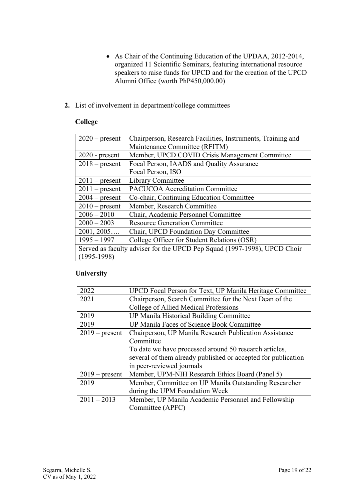- As Chair of the Continuing Education of the UPDAA, 2012-2014, organized 11 Scientific Seminars, featuring international resource speakers to raise funds for UPCD and for the creation of the UPCD Alumni Office (worth PhP450,000.00)
- **2.** List of involvement in department/college committees

## **College**

| $2020$ – present                                                         | Chairperson, Research Facilities, Instruments, Training and |
|--------------------------------------------------------------------------|-------------------------------------------------------------|
|                                                                          | Maintenance Committee (RFITM)                               |
| $2020$ - present                                                         | Member, UPCD COVID Crisis Management Committee              |
| $2018$ – present                                                         | Focal Person, IAADS and Quality Assurance                   |
|                                                                          | Focal Person, ISO                                           |
| $2011$ – present                                                         | Library Committee                                           |
| $2011$ – present                                                         | <b>PACUCOA Accreditation Committee</b>                      |
| $2004$ – present                                                         | Co-chair, Continuing Education Committee                    |
| $2010$ – present                                                         | Member, Research Committee                                  |
| $2006 - 2010$                                                            | Chair, Academic Personnel Committee                         |
| $2000 - 2003$                                                            | <b>Resource Generation Committee</b>                        |
| 2001, 2005                                                               | Chair, UPCD Foundation Day Committee                        |
| $1995 - 1997$                                                            | College Officer for Student Relations (OSR)                 |
| Served as faculty adviser for the UPCD Pep Squad (1997-1998), UPCD Choir |                                                             |
| $(1995-1998)$                                                            |                                                             |

## **University**

| 2022             | UPCD Focal Person for Text, UP Manila Heritage Committee      |
|------------------|---------------------------------------------------------------|
| 2021             | Chairperson, Search Committee for the Next Dean of the        |
|                  | College of Allied Medical Professions                         |
| 2019             | UP Manila Historical Building Committee                       |
| 2019             | UP Manila Faces of Science Book Committee                     |
| $2019$ – present | Chairperson, UP Manila Research Publication Assistance        |
|                  | Committee                                                     |
|                  | To date we have processed around 50 research articles,        |
|                  | several of them already published or accepted for publication |
|                  | in peer-reviewed journals                                     |
| $2019$ – present | Member, UPM-NIH Research Ethics Board (Panel 5)               |
| 2019             | Member, Committee on UP Manila Outstanding Researcher         |
|                  | during the UPM Foundation Week                                |
| $2011 - 2013$    | Member, UP Manila Academic Personnel and Fellowship           |
|                  | Committee (APFC)                                              |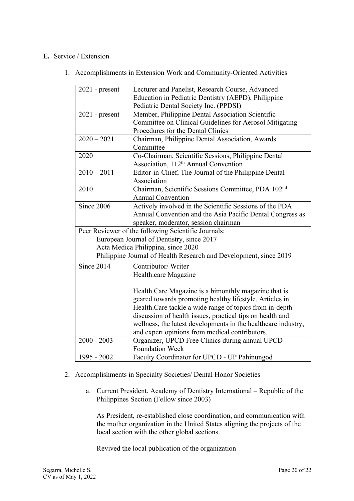## **E.** Service / Extension

1. Accomplishments in Extension Work and Community-Oriented Activities

| $2021$ - present                                                  | Lecturer and Panelist, Research Course, Advanced               |
|-------------------------------------------------------------------|----------------------------------------------------------------|
|                                                                   | Education in Pediatric Dentistry (AEPD), Philippine            |
|                                                                   | Pediatric Dental Society Inc. (PPDSI)                          |
| $2021$ - present                                                  | Member, Philippine Dental Association Scientific               |
|                                                                   | Committee on Clinical Guidelines for Aerosol Mitigating        |
|                                                                   | Procedures for the Dental Clinics                              |
| $2020 - 2021$                                                     | Chairman, Philippine Dental Association, Awards                |
|                                                                   | Committee                                                      |
| 2020                                                              | Co-Chairman, Scientific Sessions, Philippine Dental            |
|                                                                   | Association, 112 <sup>th</sup> Annual Convention               |
| $2010 - 2011$                                                     | Editor-in-Chief, The Journal of the Philippine Dental          |
|                                                                   | Association                                                    |
| 2010                                                              | Chairman, Scientific Sessions Committee, PDA 102 <sup>nd</sup> |
|                                                                   | <b>Annual Convention</b>                                       |
| Since 2006                                                        | Actively involved in the Scientific Sessions of the PDA        |
|                                                                   | Annual Convention and the Asia Pacific Dental Congress as      |
|                                                                   | speaker, moderator, session chairman                           |
|                                                                   | Peer Reviewer of the following Scientific Journals:            |
| European Journal of Dentistry, since 2017                         |                                                                |
| Acta Medica Philippina, since 2020                                |                                                                |
| Philippine Journal of Health Research and Development, since 2019 |                                                                |
| Since 2014                                                        | Contributor/ Writer                                            |
|                                                                   | Health.care Magazine                                           |
|                                                                   |                                                                |
|                                                                   | Health.Care Magazine is a bimonthly magazine that is           |
|                                                                   | geared towards promoting healthy lifestyle. Articles in        |
|                                                                   | Health. Care tackle a wide range of topics from in-depth       |
|                                                                   | discussion of health issues, practical tips on health and      |
|                                                                   | wellness, the latest developments in the healthcare industry,  |
|                                                                   | and expert opinions from medical contributors.                 |
| $2000 - 2003$                                                     | Organizer, UPCD Free Clinics during annual UPCD                |
|                                                                   | <b>Foundation Week</b>                                         |
| 1995 - 2002                                                       | Faculty Coordinator for UPCD - UP Pahinungod                   |

#### 2. Accomplishments in Specialty Societies/ Dental Honor Societies

a. Current President, Academy of Dentistry International – Republic of the Philippines Section (Fellow since 2003)

As President, re-established close coordination, and communication with the mother organization in the United States aligning the projects of the local section with the other global sections.

Revived the local publication of the organization